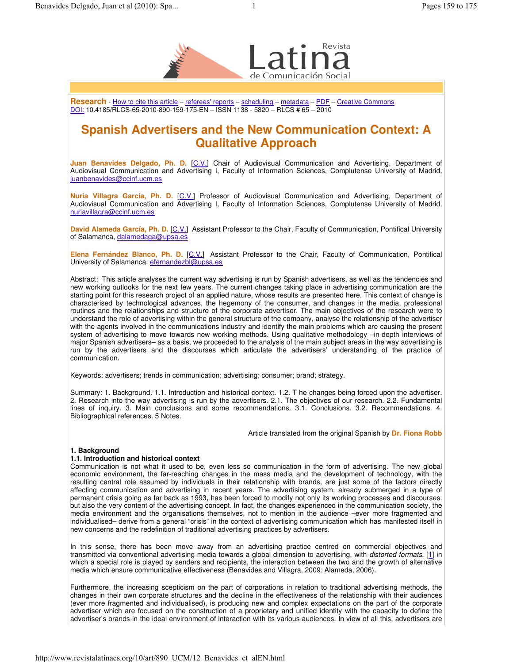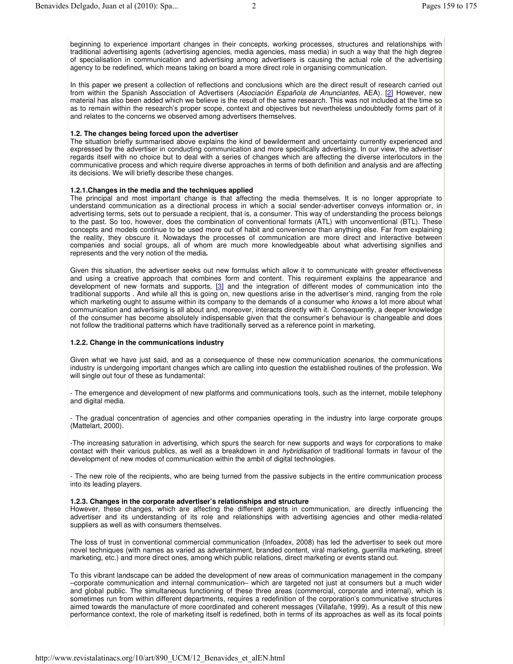In this paper we present a collection of reflections and conclusions which are the direct result of research carried out from within the Spanish Association of Advertisers (*Asociación Española de Anunciantes*, AEA). [2] However, new material has also been added which we believe is the result of the same research. This was not included at the time so as to remain within the research's proper scope, context and objectives but nevertheless undoubtedly forms part of it and relates to the concerns we observed among advertisers themselves.

## **1.2. The changes being forced upon the advertiser**

The situation briefly summarised above explains the kind of bewilderment and uncertainty currently experienced and expressed by the advertiser in conducting communication and more specifically advertising. In our view, the advertiser regards itself with no choice but to deal with a series of changes which are affecting the diverse interlocutors in the communicative process and which require diverse approaches in terms of both definition and analysis and are affecting its decisions. We will briefly describe these changes.

### **1.2.1.Changes in the media and the techniques applied**

The principal and most important change is that affecting the media themselves. It is no longer appropriate to understand communication as a directional process in which a social sender-advertiser conveys information or, in advertising terms, sets out to persuade a recipient, that is, a consumer. This way of understanding the process belongs to the past. So too, however, does the combination of conventional formats (ATL) with unconventional (BTL). These concepts and models continue to be used more out of habit and convenience than anything else. Far from explaining the reality, they obscure it. Nowadays the processes of communication are more direct and interactive between companies and social groups, all of whom are much more knowledgeable about what advertising signifies and represents and the very notion of the media**.**

Given this situation, the advertiser seeks out new formulas which allow it to communicate with greater effectiveness and using a creative approach that combines form and content. This requirement explains the appearance and development of new formats and supports, [3] and the integration of different modes of communication into the traditional supports . And while all this is going on, new questions arise in the advertiser's mind, ranging from the role which marketing ought to assume within its company to the demands of a consumer who *knows* a lot more about what communication and advertising is all about and, moreover, interacts directly with it. Consequently, a deeper knowledge of the consumer has become absolutely indispensable given that the consumer's behaviour is changeable and does not follow the traditional patterns which have traditionally served as a reference point in marketing.

### **1.2.2. Change in the communications industry**

Given what we have just said, and as a consequence of these new communication *scenarios*, the communications industry is undergoing important changes which are calling into question the established routines of the profession. We will single out four of these as fundamental:

- The emergence and development of new platforms and communications tools, such as the internet, mobile telephony and digital media.

- The gradual concentration of agencies and other companies operating in the industry into large corporate groups (Mattelart, 2000).

-The increasing saturation in advertising, which spurs the search for new supports and ways for corporations to make contact with their various publics, as well as a breakdown in and *hybridisation* of traditional formats in favour of the development of new modes of communication within the ambit of digital technologies.

- The new role of the recipients, who are being turned from the passive subjects in the entire communication process into its leading players.

### **1.2.3. Changes in the corporate advertiser's relationships and structure**

However, these changes, which are affecting the different agents in communication, are directly influencing the advertiser and its understanding of its role and relationships with advertising agencies and other media-related suppliers as well as with consumers themselves.

The loss of trust in conventional commercial communication (Infoadex, 2008) has led the advertiser to seek out more novel techniques (with names as varied as advertainment, branded content, viral marketing, guerrilla marketing, street marketing, etc.) and more direct ones, among which public relations, direct marketing or events stand out.

To this vibrant landscape can be added the development of new areas of communication management in the company –corporate communication and internal communication– which are targeted not just at consumers but a much wider and global public. The simultaneous functioning of these three areas (commercial, corporate and internal), which is sometimes run from within different departments, requires a redefinition of the corporation's communicative structures aimed towards the manufacture of more coordinated and coherent messages (Villafañe, 1999). As a result of this new performance context, the role of marketing itself is redefined, both in terms of its approaches as well as its focal points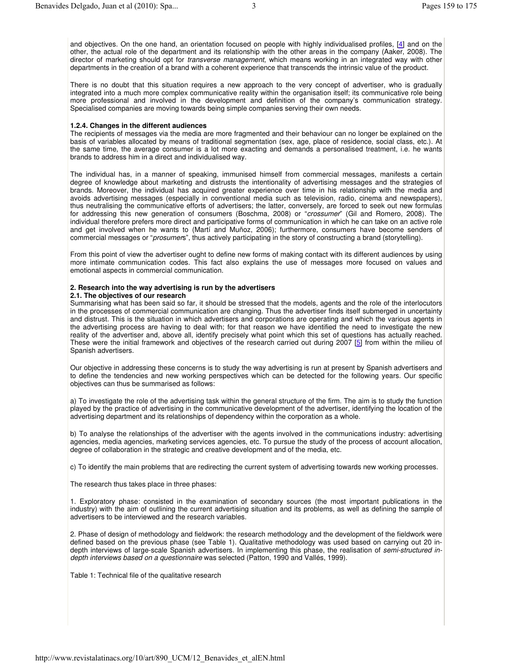There is no doubt that this situation requires a new approach to the very concept of advertiser, who is gradually integrated into a much more complex communicative reality within the organisation itself; its communicative role being more professional and involved in the development and definition of the company's communication strategy. Specialised companies are moving towards being simple companies serving their own needs.

# **1.2.4. Changes in the different audiences**

The recipients of messages via the media are more fragmented and their behaviour can no longer be explained on the basis of variables allocated by means of traditional segmentation (sex, age, place of residence, social class, etc.). At the same time, the average consumer is a lot more exacting and demands a personalised treatment, i.e. he wants brands to address him in a direct and individualised way.

The individual has, in a manner of speaking, immunised himself from commercial messages, manifests a certain degree of knowledge about marketing and distrusts the intentionality of advertising messages and the strategies of brands. Moreover, the individual has acquired greater experience over time in his relationship with the media and avoids advertising messages (especially in conventional media such as television, radio, cinema and newspapers), thus neutralising the communicative efforts of advertisers; the latter, conversely, are forced to seek out new formulas for addressing this new generation of consumers (Boschma, 2008) or "*crossumer*" (Gil and Romero, 2008). The individual therefore prefers more direct and participative forms of communication in which he can take on an active role and get involved when he wants to (Martí and Muñoz, 2006); furthermore, consumers have become senders of commercial messages or "*prosumer*s", thus actively participating in the story of constructing a brand (storytelling).

From this point of view the advertiser ought to define new forms of making contact with its different audiences by using more intimate communication codes. This fact also explains the use of messages more focused on values and emotional aspects in commercial communication.

# **2. Research into the way advertising is run by the advertisers**

# **2.1. The objectives of our research**

Summarising what has been said so far, it should be stressed that the models, agents and the role of the interlocutors in the processes of commercial communication are changing. Thus the advertiser finds itself submerged in uncertainty and distrust. This is the situation in which advertisers and corporations are operating and which the various agents in the advertising process are having to deal with; for that reason we have identified the need to investigate the new reality of the advertiser and, above all, identify precisely what point which this set of questions has actually reached. These were the initial framework and objectives of the research carried out during 2007 [5] from within the milieu of Spanish advertisers.

Our objective in addressing these concerns is to study the way advertising is run at present by Spanish advertisers and to define the tendencies and new working perspectives which can be detected for the following years. Our specific objectives can thus be summarised as follows:

a) To investigate the role of the advertising task within the general structure of the firm. The aim is to study the function played by the practice of advertising in the communicative development of the advertiser, identifying the location of the advertising department and its relationships of dependency within the corporation as a whole.

b) To analyse the relationships of the advertiser with the agents involved in the communications industry: advertising agencies, media agencies, marketing services agencies, etc. To pursue the study of the process of account allocation, degree of collaboration in the strategic and creative development and of the media, etc.

c) To identify the main problems that are redirecting the current system of advertising towards new working processes.

The research thus takes place in three phases:

1. Exploratory phase: consisted in the examination of secondary sources (the most important publications in the industry) with the aim of outlining the current advertising situation and its problems, as well as defining the sample of advertisers to be interviewed and the research variables.

2. Phase of design of methodology and fieldwork: the research methodology and the development of the fieldwork were defined based on the previous phase (see Table 1). Qualitative methodology was used based on carrying out 20 indepth interviews of large-scale Spanish advertisers. In implementing this phase, the realisation of *semi-structured indepth interviews based on a questionnaire* was selected (Patton, 1990 and Vallés, 1999).

Table 1: Technical file of the qualitative research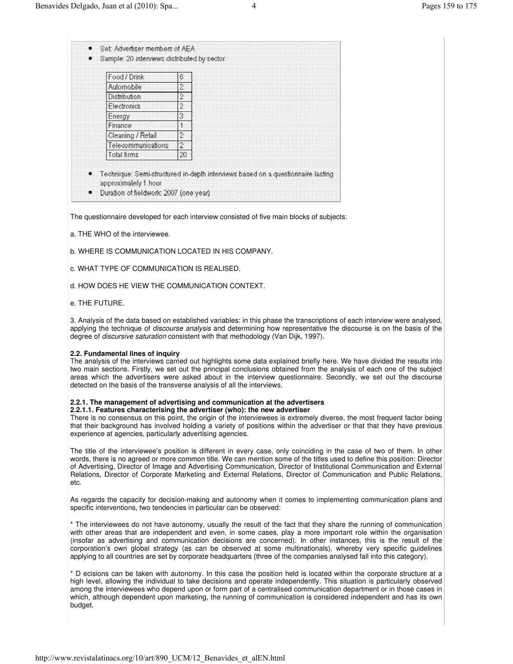| Food / Drink        | 6              |
|---------------------|----------------|
| Automobile          | 2              |
| <b>Distribution</b> | 2              |
| Electronics         | $\overline{c}$ |
| Energy              | З              |
| Finance             | 1              |
| Cleaning / Retail   | 2              |
| elecommunications   | $\overline{2}$ |
| Total tirms         | 20             |

The questionnaire developed for each interview consisted of five main blocks of subjects:

- a. THE WHO of the interviewee.
- b. WHERE IS COMMUNICATION LOCATED IN HIS COMPANY.
- c. WHAT TYPE OF COMMUNICATION IS REALISED.
- d. HOW DOES HE VIEW THE COMMUNICATION CONTEXT.
- e. THE FUTURE.

3. Analysis of the data based on established variables: in this phase the transcriptions of each interview were analysed, applying the technique of *discourse analysis* and determining how representative the discourse is on the basis of the degree of *discursive saturation* consistent with that methodology (Van Dijk, 1997).

### **2.2. Fundamental lines of inquiry**

The analysis of the interviews carried out highlights some data explained briefly here. We have divided the results into two main sections. Firstly, we set out the principal conclusions obtained from the analysis of each one of the subject areas which the advertisers were asked about in the interview questionnaire. Secondly, we set out the discourse detected on the basis of the transverse analysis of all the interviews.

### **2.2.1. The management of advertising and communication at the advertisers**

**2.2.1.1. Features characterising the advertiser (who): the new advertiser**

There is no consensus on this point, the origin of the interviewees is extremely diverse, the most frequent factor being that their background has involved holding a variety of positions within the advertiser or that that they have previous experience at agencies, particularly advertising agencies.

The title of the interviewee's position is different in every case, only coinciding in the case of two of them. In other words, there is no agreed or more common title. We can mention some of the titles used to define this position: Director of Advertising, Director of Image and Advertising Communication, Director of Institutional Communication and External Relations, Director of Corporate Marketing and External Relations, Director of Communication and Public Relations, etc.

As regards the capacity for decision-making and autonomy when it comes to implementing communication plans and specific interventions, two tendencies in particular can be observed:

\* The interviewees do not have autonomy, usually the result of the fact that they share the running of communication with other areas that are independent and even, in some cases, play a more important role within the organisation (insofar as advertising and communication decisions are concerned). In other instances, this is the result of the corporation's own global strategy (as can be observed at some multinationals), whereby very specific guidelines applying to all countries are set by corporate headquarters (three of the companies analysed fall into this category).

\* D ecisions can be taken with autonomy. In this case the position held is located within the corporate structure at a high level, allowing the individual to take decisions and operate independently. This situation is particularly observed among the interviewees who depend upon or form part of a centralised communication department or in those cases in which, although dependent upon marketing, the running of communication is considered independent and has its own budget.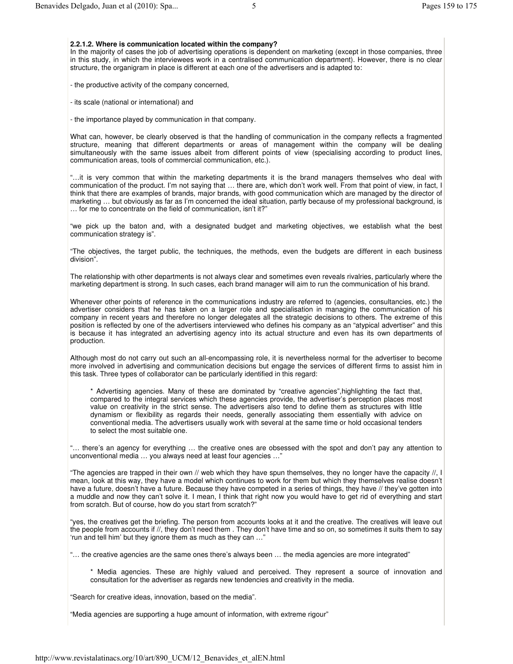## **2.2.1.2. Where is communication located within the company?**

In the majority of cases the job of advertising operations is dependent on marketing (except in those companies, three in this study, in which the interviewees work in a centralised communication department). However, there is no clear structure, the organigram in place is different at each one of the advertisers and is adapted to:

- the productive activity of the company concerned,

- its scale (national or international) and

- the importance played by communication in that company.

What can, however, be clearly observed is that the handling of communication in the company reflects a fragmented structure, meaning that different departments or areas of management within the company will be dealing simultaneously with the same issues albeit from different points of view (specialising according to product lines, communication areas, tools of commercial communication, etc.).

"…it is very common that within the marketing departments it is the brand managers themselves who deal with communication of the product. I'm not saying that … there are, which don't work well. From that point of view, in fact, I think that there are examples of brands, major brands, with good communication which are managed by the director of marketing … but obviously as far as I'm concerned the ideal situation, partly because of my professional background, is … for me to concentrate on the field of communication, isn't it?"

"we pick up the baton and, with a designated budget and marketing objectives, we establish what the best communication strategy is".

"The objectives, the target public, the techniques, the methods, even the budgets are different in each business division".

The relationship with other departments is not always clear and sometimes even reveals rivalries, particularly where the marketing department is strong. In such cases, each brand manager will aim to run the communication of his brand.

Whenever other points of reference in the communications industry are referred to (agencies, consultancies, etc.) the advertiser considers that he has taken on a larger role and specialisation in managing the communication of his company in recent years and therefore no longer delegates all the strategic decisions to others. The extreme of this position is reflected by one of the advertisers interviewed who defines his company as an "atypical advertiser" and this is because it has integrated an advertising agency into its actual structure and even has its own departments of production.

Although most do not carry out such an all-encompassing role, it is nevertheless normal for the advertiser to become more involved in advertising and communication decisions but engage the services of different firms to assist him in this task. Three types of collaborator can be particularly identified in this regard:

\* Advertising agencies. Many of these are dominated by "creative agencies",highlighting the fact that, compared to the integral services which these agencies provide, the advertiser's perception places most value on creativity in the strict sense. The advertisers also tend to define them as structures with little dynamism or flexibility as regards their needs, generally associating them essentially with advice on conventional media. The advertisers usually work with several at the same time or hold occasional tenders to select the most suitable one.

"… there's an agency for everything … the creative ones are obsessed with the spot and don't pay any attention to unconventional media … you always need at least four agencies …"

"The agencies are trapped in their own // web which they have spun themselves, they no longer have the capacity //, I mean, look at this way, they have a model which continues to work for them but which they themselves realise doesn't have a future, doesn't have a future. Because they have competed in a series of things, they have // they've gotten into a muddle and now they can't solve it. I mean, I think that right now you would have to get rid of everything and start from scratch. But of course, how do you start from scratch?"

"yes, the creatives get the briefing. The person from accounts looks at it and the creative. The creatives will leave out the people from accounts if //, they don't need them . They don't have time and so on, so sometimes it suits them to say 'run and tell him' but they ignore them as much as they can …"

"… the creative agencies are the same ones there's always been … the media agencies are more integrated"

\* Media agencies. These are highly valued and perceived. They represent a source of innovation and consultation for the advertiser as regards new tendencies and creativity in the media.

"Search for creative ideas, innovation, based on the media".

"Media agencies are supporting a huge amount of information, with extreme rigour"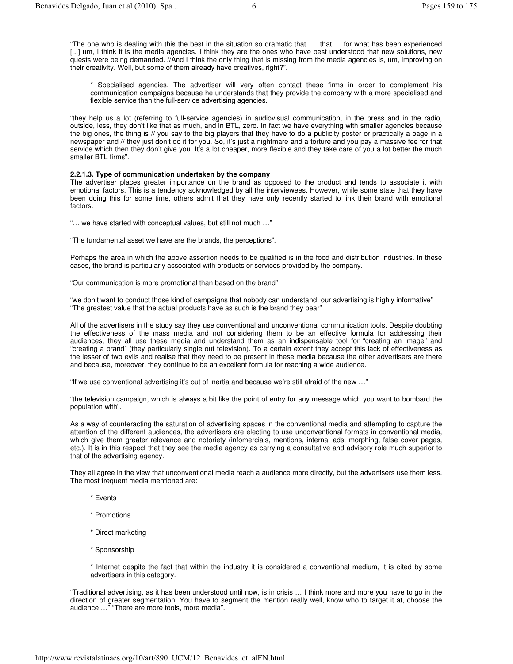\* Specialised agencies. The advertiser will very often contact these firms in order to complement his communication campaigns because he understands that they provide the company with a more specialised and flexible service than the full-service advertising agencies.

"they help us a lot (referring to full-service agencies) in audiovisual communication, in the press and in the radio, outside, less, they don't like that as much, and in BTL, zero. In fact we have everything with smaller agencies because the big ones, the thing is // you say to the big players that they have to do a publicity poster or practically a page in a newspaper and // they just don't do it for you. So, it's just a nightmare and a torture and you pay a massive fee for that service which then they don't give you. It's a lot cheaper, more flexible and they take care of you a lot better the much smaller BTL firms".

### **2.2.1.3. Type of communication undertaken by the company**

The advertiser places greater importance on the brand as opposed to the product and tends to associate it with emotional factors. This is a tendency acknowledged by all the interviewees. However, while some state that they have been doing this for some time, others admit that they have only recently started to link their brand with emotional factors.

"… we have started with conceptual values, but still not much …"

"The fundamental asset we have are the brands, the perceptions".

Perhaps the area in which the above assertion needs to be qualified is in the food and distribution industries. In these cases, the brand is particularly associated with products or services provided by the company.

"Our communication is more promotional than based on the brand"

"we don't want to conduct those kind of campaigns that nobody can understand, our advertising is highly informative" "The greatest value that the actual products have as such is the brand they bear"

All of the advertisers in the study say they use conventional and unconventional communication tools. Despite doubting the effectiveness of the mass media and not considering them to be an effective formula for addressing their audiences, they all use these media and understand them as an indispensable tool for "creating an image" and "creating a brand" (they particularly single out television). To a certain extent they accept this lack of effectiveness as the lesser of two evils and realise that they need to be present in these media because the other advertisers are there and because, moreover, they continue to be an excellent formula for reaching a wide audience.

"If we use conventional advertising it's out of inertia and because we're still afraid of the new …"

"the television campaign, which is always a bit like the point of entry for any message which you want to bombard the population with".

As a way of counteracting the saturation of advertising spaces in the conventional media and attempting to capture the attention of the different audiences, the advertisers are electing to use unconventional formats in conventional media, which give them greater relevance and notoriety (infomercials, mentions, internal ads, morphing, false cover pages, etc.). It is in this respect that they see the media agency as carrying a consultative and advisory role much superior to that of the advertising agency.

They all agree in the view that unconventional media reach a audience more directly, but the advertisers use them less. The most frequent media mentioned are:

- \* Events
- \* Promotions
- \* Direct marketing
- \* Sponsorship

\* Internet despite the fact that within the industry it is considered a conventional medium, it is cited by some advertisers in this category.

"Traditional advertising, as it has been understood until now, is in crisis … I think more and more you have to go in the direction of greater segmentation. You have to segment the mention really well, know who to target it at, choose the audience …" "There are more tools, more media".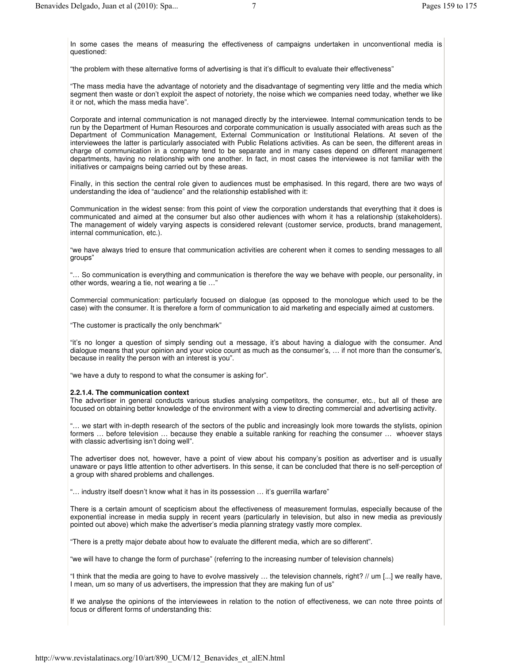In some cases the means of measuring the effectiveness of campaigns undertaken in unconventional media is questioned:

"the problem with these alternative forms of advertising is that it's difficult to evaluate their effectiveness"

"The mass media have the advantage of notoriety and the disadvantage of segmenting very little and the media which segment then waste or don't exploit the aspect of notoriety, the noise which we companies need today, whether we like it or not, which the mass media have".

Corporate and internal communication is not managed directly by the interviewee. Internal communication tends to be run by the Department of Human Resources and corporate communication is usually associated with areas such as the Department of Communication Management, External Communication or Institutional Relations. At seven of the interviewees the latter is particularly associated with Public Relations activities. As can be seen, the different areas in charge of communication in a company tend to be separate and in many cases depend on different management departments, having no relationship with one another. In fact, in most cases the interviewee is not familiar with the initiatives or campaigns being carried out by these areas.

Finally, in this section the central role given to audiences must be emphasised. In this regard, there are two ways of understanding the idea of "audience" and the relationship established with it:

Communication in the widest sense: from this point of view the corporation understands that everything that it does is communicated and aimed at the consumer but also other audiences with whom it has a relationship (stakeholders). The management of widely varying aspects is considered relevant (customer service, products, brand management, internal communication, etc.).

"we have always tried to ensure that communication activities are coherent when it comes to sending messages to all groups"

"… So communication is everything and communication is therefore the way we behave with people, our personality, in other words, wearing a tie, not wearing a tie …"

Commercial communication: particularly focused on dialogue (as opposed to the monologue which used to be the case) with the consumer. It is therefore a form of communication to aid marketing and especially aimed at customers.

"The customer is practically the only benchmark"

"it's no longer a question of simply sending out a message, it's about having a dialogue with the consumer. And dialogue means that your opinion and your voice count as much as the consumer's, … if not more than the consumer's, because in reality the person with an interest is you".

"we have a duty to respond to what the consumer is asking for".

### **2.2.1.4. The communication context**

The advertiser in general conducts various studies analysing competitors, the consumer, etc., but all of these are focused on obtaining better knowledge of the environment with a view to directing commercial and advertising activity.

"… we start with in-depth research of the sectors of the public and increasingly look more towards the stylists, opinion formers … before television … because they enable a suitable ranking for reaching the consumer … whoever stays with classic advertising isn't doing well".

The advertiser does not, however, have a point of view about his company's position as advertiser and is usually unaware or pays little attention to other advertisers. In this sense, it can be concluded that there is no self-perception of a group with shared problems and challenges.

"… industry itself doesn't know what it has in its possession … it's guerrilla warfare"

There is a certain amount of scepticism about the effectiveness of measurement formulas, especially because of the exponential increase in media supply in recent years (particularly in television, but also in new media as previously pointed out above) which make the advertiser's media planning strategy vastly more complex.

"There is a pretty major debate about how to evaluate the different media, which are so different".

"we will have to change the form of purchase" (referring to the increasing number of television channels)

"I think that the media are going to have to evolve massively … the television channels, right? // um [...] we really have, I mean, um so many of us advertisers, the impression that they are making fun of us"

If we analyse the opinions of the interviewees in relation to the notion of effectiveness, we can note three points of focus or different forms of understanding this: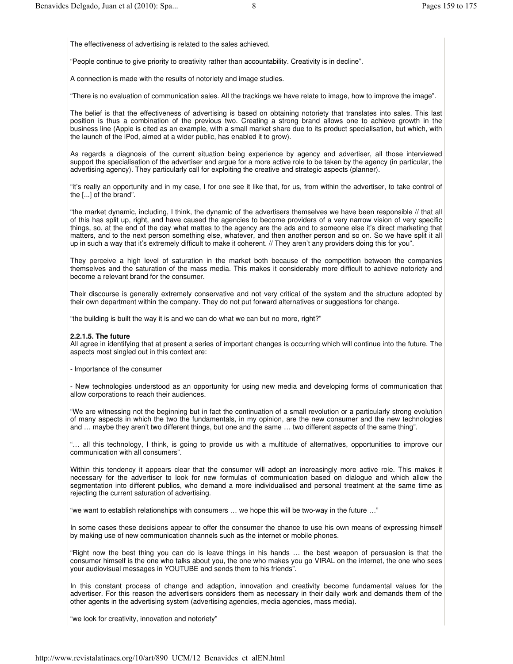The effectiveness of advertising is related to the sales achieved.

"People continue to give priority to creativity rather than accountability. Creativity is in decline".

A connection is made with the results of notoriety and image studies.

"There is no evaluation of communication sales. All the trackings we have relate to image, how to improve the image".

The belief is that the effectiveness of advertising is based on obtaining notoriety that translates into sales. This last position is thus a combination of the previous two. Creating a strong brand allows one to achieve growth in the business line (Apple is cited as an example, with a small market share due to its product specialisation, but which, with the launch of the iPod, aimed at a wider public, has enabled it to grow).

As regards a diagnosis of the current situation being experience by agency and advertiser, all those interviewed support the specialisation of the advertiser and argue for a more active role to be taken by the agency (in particular, the advertising agency). They particularly call for exploiting the creative and strategic aspects (planner).

"it's really an opportunity and in my case, I for one see it like that, for us, from within the advertiser, to take control of the [...] of the brand".

"the market dynamic, including, I think, the dynamic of the advertisers themselves we have been responsible // that all of this has split up, right, and have caused the agencies to become providers of a very narrow vision of very specific things, so, at the end of the day what mattes to the agency are the ads and to someone else it's direct marketing that matters, and to the next person something else, whatever, and then another person and so on. So we have split it all up in such a way that it's extremely difficult to make it coherent. // They aren't any providers doing this for you".

They perceive a high level of saturation in the market both because of the competition between the companies themselves and the saturation of the mass media. This makes it considerably more difficult to achieve notoriety and become a relevant brand for the consumer.

Their discourse is generally extremely conservative and not very critical of the system and the structure adopted by their own department within the company. They do not put forward alternatives or suggestions for change.

"the building is built the way it is and we can do what we can but no more, right?"

# **2.2.1.5. The future**

All agree in identifying that at present a series of important changes is occurring which will continue into the future. The aspects most singled out in this context are:

- Importance of the consumer

- New technologies understood as an opportunity for using new media and developing forms of communication that allow corporations to reach their audiences.

"We are witnessing not the beginning but in fact the continuation of a small revolution or a particularly strong evolution of many aspects in which the two the fundamentals, in my opinion, are the new consumer and the new technologies and … maybe they aren't two different things, but one and the same … two different aspects of the same thing".

"… all this technology, I think, is going to provide us with a multitude of alternatives, opportunities to improve our communication with all consumers".

Within this tendency it appears clear that the consumer will adopt an increasingly more active role. This makes it necessary for the advertiser to look for new formulas of communication based on dialogue and which allow the segmentation into different publics, who demand a more individualised and personal treatment at the same time as rejecting the current saturation of advertising.

"we want to establish relationships with consumers … we hope this will be two-way in the future …"

In some cases these decisions appear to offer the consumer the chance to use his own means of expressing himself by making use of new communication channels such as the internet or mobile phones.

"Right now the best thing you can do is leave things in his hands … the best weapon of persuasion is that the consumer himself is the one who talks about you, the one who makes you go VIRAL on the internet, the one who sees your audiovisual messages in YOUTUBE and sends them to his friends".

In this constant process of change and adaption, innovation and creativity become fundamental values for the advertiser. For this reason the advertisers considers them as necessary in their daily work and demands them of the other agents in the advertising system (advertising agencies, media agencies, mass media).

"we look for creativity, innovation and notoriety"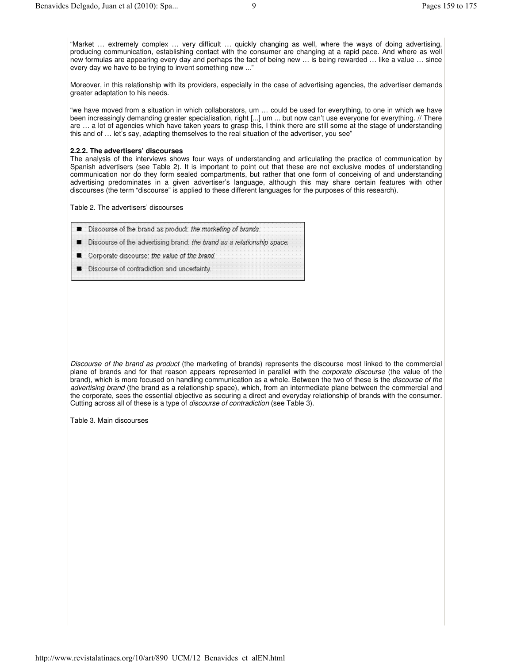"Market … extremely complex … very difficult … quickly changing as well, where the ways of doing advertising, producing communication, establishing contact with the consumer are changing at a rapid pace. And where as well new formulas are appearing every day and perhaps the fact of being new … is being rewarded … like a value … since every day we have to be trying to invent something new ..."

Moreover, in this relationship with its providers, especially in the case of advertising agencies, the advertiser demands greater adaptation to his needs.

"we have moved from a situation in which collaborators, um … could be used for everything, to one in which we have been increasingly demanding greater specialisation, right [...] um ... but now can't use everyone for everything. // There are … a lot of agencies which have taken years to grasp this, I think there are still some at the stage of understanding this and of … let's say, adapting themselves to the real situation of the advertiser, you see"

### **2.2.2. The advertisers' discourses**

The analysis of the interviews shows four ways of understanding and articulating the practice of communication by Spanish advertisers (see Table 2). It is important to point out that these are not exclusive modes of understanding communication nor do they form sealed compartments, but rather that one form of conceiving of and understanding advertising predominates in a given advertiser's language, although this may share certain features with other discourses (the term "discourse" is applied to these different languages for the purposes of this research).

Table 2. The advertisers' discourses

- Discourse of the brand as product. the marketing of brands. ■ Discourse of the advertising brand: the brand as a relationship space.
- Corporate discourse: the value of the brand.
- **Discourse of contradiction and uncertainty.**

*Discourse of the brand as product* (the marketing of brands) represents the discourse most linked to the commercial plane of brands and for that reason appears represented in parallel with the *corporate discourse* (the value of the brand), which is more focused on handling communication as a whole. Between the two of these is the *discourse of the advertising brand* (the brand as a relationship space), which, from an intermediate plane between the commercial and the corporate, sees the essential objective as securing a direct and everyday relationship of brands with the consumer. Cutting across all of these is a type of *discourse of contradiction* (see Table 3).

Table 3. Main discourses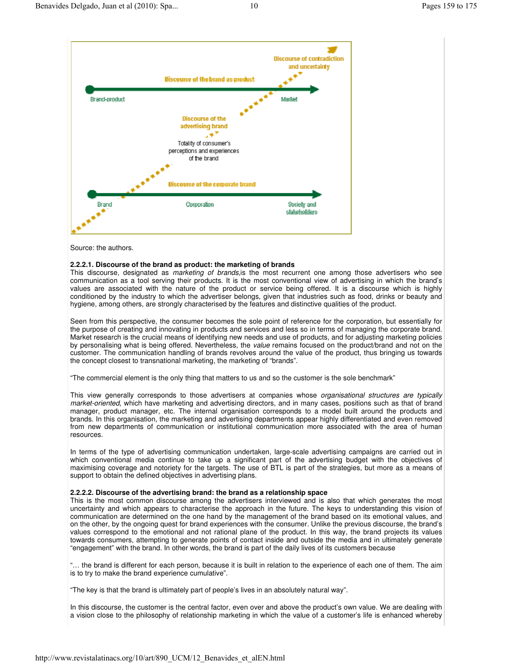

Source: the authors.

### **2.2.2.1. Discourse of the brand as product: the marketing of brands**

This discourse, designated as *marketing of brands*,is the most recurrent one among those advertisers who see communication as a tool serving their products. It is the most conventional view of advertising in which the brand's values are associated with the nature of the product or service being offered. It is a discourse which is highly conditioned by the industry to which the advertiser belongs, given that industries such as food, drinks or beauty and hygiene, among others, are strongly characterised by the features and distinctive qualities of the product.

Seen from this perspective, the consumer becomes the sole point of reference for the corporation, but essentially for the purpose of creating and innovating in products and services and less so in terms of managing the corporate brand. Market research is the crucial means of identifying new needs and use of products, and for adjusting marketing policies by personalising what is being offered. Nevertheless, the *value* remains focused on the product/brand and not on the customer. The communication handling of brands revolves around the value of the product, thus bringing us towards the concept closest to transnational marketing, the marketing of "brands".

"The commercial element is the only thing that matters to us and so the customer is the sole benchmark"

This view generally corresponds to those advertisers at companies whose *organisational structures are typically market-oriented*, which have marketing and advertising directors, and in many cases, positions such as that of brand manager, product manager, etc. The internal organisation corresponds to a model built around the products and brands. In this organisation, the marketing and advertising departments appear highly differentiated and even removed from new departments of communication or institutional communication more associated with the area of human resources.

In terms of the type of advertising communication undertaken, large-scale advertising campaigns are carried out in which conventional media continue to take up a significant part of the advertising budget with the objectives of maximising coverage and notoriety for the targets*.* The use of BTL is part of the strategies, but more as a means of support to obtain the defined objectives in advertising plans.

### **2.2.2.2. Discourse of the advertising brand: the brand as a relationship space**

This is the most common discourse among the advertisers interviewed and is also that which generates the most uncertainty and which appears to characterise the approach in the future. The keys to understanding this vision of communication are determined on the one hand by the management of the brand based on its emotional values, and on the other, by the ongoing quest for brand experiences with the consumer. Unlike the previous discourse, the brand's values correspond to the emotional and not rational plane of the product. In this way, the brand projects its values towards consumers, attempting to generate points of contact inside and outside the media and in ultimately generate "engagement" with the brand. In other words, the brand is part of the daily lives of its customers because

"… the brand is different for each person, because it is built in relation to the experience of each one of them. The aim is to try to make the brand experience cumulative".

"The key is that the brand is ultimately part of people's lives in an absolutely natural way".

In this discourse, the customer is the central factor, even over and above the product's own value. We are dealing with a vision close to the philosophy of relationship marketing in which the value of a customer's life is enhanced whereby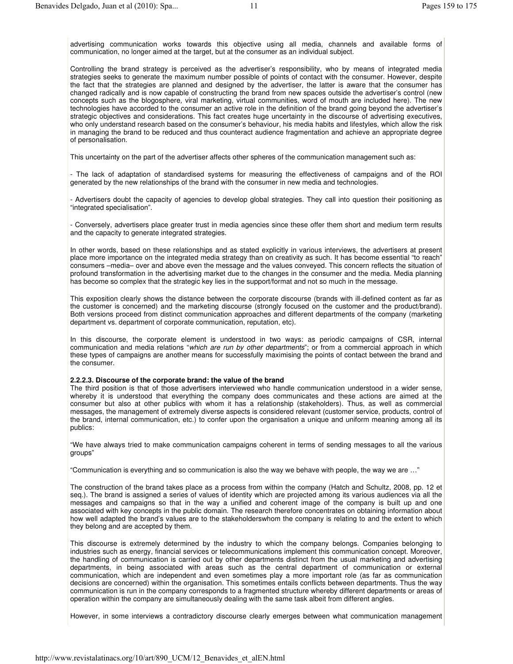advertising communication works towards this objective using all media, channels and available forms of communication, no longer aimed at the target*,* but at the consumer as an individual subject.

Controlling the brand strategy is perceived as the advertiser's responsibility, who by means of integrated media strategies seeks to generate the maximum number possible of points of contact with the consumer. However, despite the fact that the strategies are planned and designed by the advertiser, the latter is aware that the consumer has changed radically and is now capable of constructing the brand from new spaces outside the advertiser's control (new concepts such as the blogosphere*,* viral marketing, virtual communities, word of mouth are included here). The new technologies have accorded to the consumer an active role in the definition of the brand going beyond the advertiser's strategic objectives and considerations. This fact creates huge uncertainty in the discourse of advertising executives, who only understand research based on the consumer's behaviour, his media habits and lifestyles, which allow the risk in managing the brand to be reduced and thus counteract audience fragmentation and achieve an appropriate degree of personalisation.

This uncertainty on the part of the advertiser affects other spheres of the communication management such as:

- The lack of adaptation of standardised systems for measuring the effectiveness of campaigns and of the ROI generated by the new relationships of the brand with the consumer in new media and technologies.

- Advertisers doubt the capacity of agencies to develop global strategies. They call into question their positioning as "integrated specialisation".

- Conversely, advertisers place greater trust in media agencies since these offer them short and medium term results and the capacity to generate integrated strategies.

In other words, based on these relationships and as stated explicitly in various interviews, the advertisers at present place more importance on the integrated media strategy than on creativity as such. It has become essential "to reach" consumers –media– over and above even the message and the values conveyed. This concern reflects the situation of profound transformation in the advertising market due to the changes in the consumer and the media. Media planning has become so complex that the strategic key lies in the support/format and not so much in the message.

This exposition clearly shows the distance between the corporate discourse (brands with ill-defined content as far as the customer is concerned) and the marketing discourse (strongly focused on the customer and the product/brand). Both versions proceed from distinct communication approaches and different departments of the company (marketing department vs. department of corporate communication, reputation, etc).

In this discourse, the corporate element is understood in two ways: as periodic campaigns of CSR, internal communication and media relations "*which are run by other departments*"; or from a commercial approach in which these types of campaigns are another means for successfully maximising the points of contact between the brand and the consumer.

#### **2.2.2.3. Discourse of the corporate brand: the value of the brand**

The third position is that of those advertisers interviewed who handle communication understood in a wider sense, whereby it is understood that everything the company does communicates and these actions are aimed at the consumer but also at other publics with whom it has a relationship (stakeholders). Thus, as well as commercial messages, the management of extremely diverse aspects is considered relevant (customer service, products, control of the brand, internal communication, etc.) to confer upon the organisation a unique and uniform meaning among all its publics:

"We have always tried to make communication campaigns coherent in terms of sending messages to all the various groups"

"Communication is everything and so communication is also the way we behave with people, the way we are …"

The construction of the brand takes place as a process from within the company (Hatch and Schultz, 2008, pp. 12 et seq.). The brand is assigned a series of values of identity which are projected among its various audiences via all the messages and campaigns so that in the way a unified and coherent image of the company is built up and one associated with key concepts in the public domain. The research therefore concentrates on obtaining information about how well adapted the brand's values are to the stakeholderswhom the company is relating to and the extent to which they belong and are accepted by them.

This discourse is extremely determined by the industry to which the company belongs. Companies belonging to industries such as energy, financial services or telecommunications implement this communication concept. Moreover, the handling of communication is carried out by other departments distinct from the usual marketing and advertising departments, in being associated with areas such as the central department of communication or external communication, which are independent and even sometimes play a more important role (as far as communication decisions are concerned) within the organisation. This sometimes entails conflicts between departments. Thus the way communication is run in the company corresponds to a fragmented structure whereby different departments or areas of operation within the company are simultaneously dealing with the same task albeit from different angles.

However, in some interviews a contradictory discourse clearly emerges between what communication management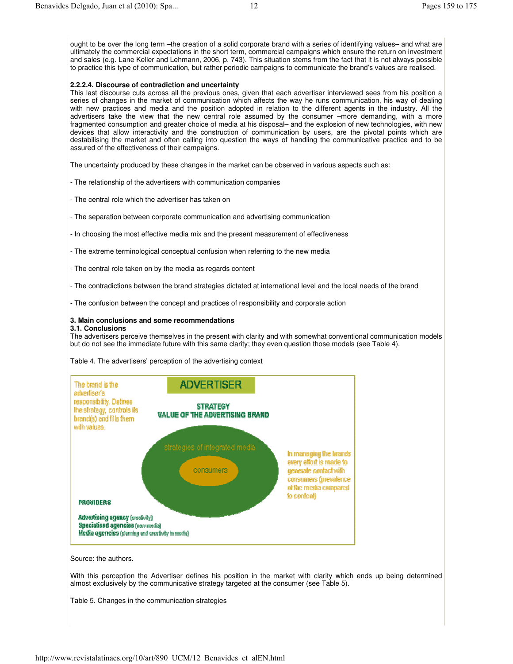### **2.2.2.4. Discourse of contradiction and uncertainty**

This last discourse cuts across all the previous ones, given that each advertiser interviewed sees from his position a series of changes in the market of communication which affects the way he runs communication, his way of dealing with new practices and media and the position adopted in relation to the different agents in the industry. All the advertisers take the view that the new central role assumed by the consumer –more demanding, with a more fragmented consumption and greater choice of media at his disposal– and the explosion of new technologies, with new devices that allow interactivity and the construction of communication by users, are the pivotal points which are destabilising the market and often calling into question the ways of handling the communicative practice and to be assured of the effectiveness of their campaigns.

The uncertainty produced by these changes in the market can be observed in various aspects such as:

- The relationship of the advertisers with communication companies
- The central role which the advertiser has taken on
- The separation between corporate communication and advertising communication
- In choosing the most effective media mix and the present measurement of effectiveness
- The extreme terminological conceptual confusion when referring to the new media
- The central role taken on by the media as regards content
- The contradictions between the brand strategies dictated at international level and the local needs of the brand
- The confusion between the concept and practices of responsibility and corporate action

### **3. Main conclusions and some recommendations**

## **3.1. Conclusions**

The advertisers perceive themselves in the present with clarity and with somewhat conventional communication models but do not see the immediate future with this same clarity; they even question those models (see Table 4).

Table 4. The advertisers' perception of the advertising context



Source: the authors.

With this perception the Advertiser defines his position in the market with clarity which ends up being determined almost exclusively by the communicative strategy targeted at the consumer (see Table 5).

Table 5. Changes in the communication strategies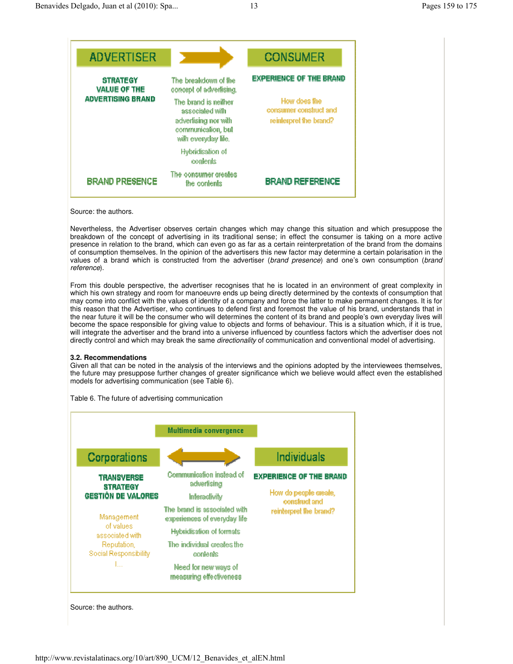

Source: the authors.

Nevertheless, the Advertiser observes certain changes which may change this situation and which presuppose the breakdown of the concept of advertising in its traditional sense; in effect the consumer is taking on a more active presence in relation to the brand, which can even go as far as a certain reinterpretation of the brand from the domains of consumption themselves. In the opinion of the advertisers this new factor may determine a certain polarisation in the values of a brand which is constructed from the advertiser (*brand presence*) and one's own consumption (*brand reference*).

From this double perspective, the advertiser recognises that he is located in an environment of great complexity in which his own strategy and room for manoeuvre ends up being directly determined by the contexts of consumption that may come into conflict with the values of identity of a company and force the latter to make permanent changes. It is for this reason that the Advertiser, who continues to defend first and foremost the value of his brand, understands that in the near future it will be the consumer who will determines the content of its brand and people's own everyday lives will become the space responsible for giving value to objects and forms of behaviour. This is a situation which, if it is true, will integrate the advertiser and the brand into a universe influenced by countless factors which the advertiser does not directly control and which may break the same *directionality* of communication and conventional model of advertising.

### **3.2. Recommendations**

Given all that can be noted in the analysis of the interviews and the opinions adopted by the interviewees themselves, the future may presuppose further changes of greater significance which we believe would affect even the established models for advertising communication (see Table 6).



Table 6. The future of advertising communication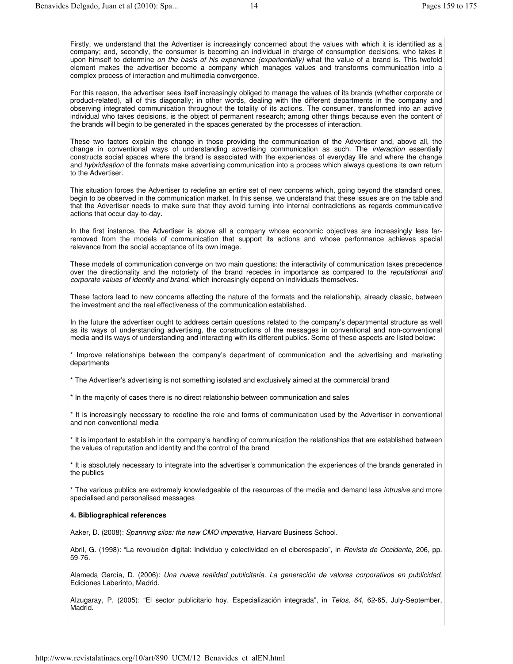Firstly, we understand that the Advertiser is increasingly concerned about the values with which it is identified as a company; and, secondly, the consumer is becoming an individual in charge of consumption decisions, who takes it upon himself to determine *on the basis of his experience (experientially)* what the value of a brand is. This twofold element makes the advertiser become a company which manages values and transforms communication into a complex process of interaction and multimedia convergence.

For this reason, the advertiser sees itself increasingly obliged to manage the values of its brands (whether corporate or product-related), all of this diagonally; in other words, dealing with the different departments in the company and observing integrated communication throughout the totality of its actions. The consumer, transformed into an active individual who takes decisions, is the object of permanent research; among other things because even the content of the brands will begin to be generated in the spaces generated by the processes of interaction.

These two factors explain the change in those providing the communication of the Advertiser and, above all, the change in conventional ways of understanding advertising communication as such. The *interaction* essentially constructs social spaces where the brand is associated with the experiences of everyday life and where the change and *hybridisation* of the formats make advertising communication into a process which always questions its own return to the Advertiser.

This situation forces the Advertiser to redefine an entire set of new concerns which, going beyond the standard ones, begin to be observed in the communication market. In this sense, we understand that these issues are on the table and that the Advertiser needs to make sure that they avoid turning into internal contradictions as regards communicative actions that occur day-to-day.

In the first instance, the Advertiser is above all a company whose economic objectives are increasingly less farremoved from the models of communication that support its actions and whose performance achieves special relevance from the social acceptance of its own image.

These models of communication converge on two main questions: the interactivity of communication takes precedence over the directionality and the notoriety of the brand recedes in importance as compared to the *reputational and corporate values of identity and brand*, which increasingly depend on individuals themselves.

These factors lead to new concerns affecting the nature of the formats and the relationship, already classic, between the investment and the real effectiveness of the communication established.

In the future the advertiser ought to address certain questions related to the company's departmental structure as well as its ways of understanding advertising, the constructions of the messages in conventional and non-conventional media and its ways of understanding and interacting with its different publics. Some of these aspects are listed below:

\* Improve relationships between the company's department of communication and the advertising and marketing departments

\* The Advertiser's advertising is not something isolated and exclusively aimed at the commercial brand

\* In the majority of cases there is no direct relationship between communication and sales

\* It is increasingly necessary to redefine the role and forms of communication used by the Advertiser in conventional and non-conventional media

\* It is important to establish in the company's handling of communication the relationships that are established between the values of reputation and identity and the control of the brand

\* It is absolutely necessary to integrate into the advertiser's communication the experiences of the brands generated in the publics

\* The various publics are extremely knowledgeable of the resources of the media and demand less *intrusive* and more specialised and personalised messages

# **4. Bibliographical references**

Aaker, D. (2008): *Spanning silos: the new CMO imperative*, Harvard Business School.

Abril, G. (1998): "La revolución digital: Individuo y colectividad en el ciberespacio", in *Revista de Occidente*, 206, pp. 59-76.

Alameda García, D. (2006): *Una nueva realidad publicitaria. La generación de valores corporativos en publicidad*, Ediciones Laberinto, Madrid.

Alzugaray, P. (2005): "El sector publicitario hoy. Especialización integrada", in *Telos, 64*, 62-65, July-September, Madrid.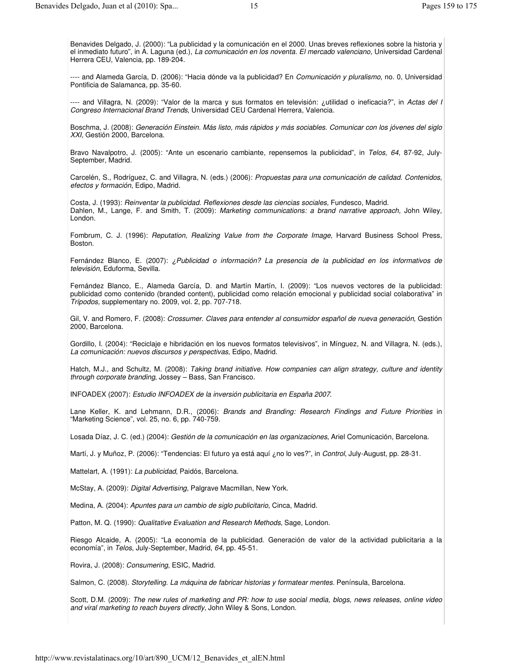Benavides Delgado, J. (2000): "La publicidad y la comunicación en el 2000. Unas breves reflexiones sobre la historia y el inmediato futuro", in A. Laguna (ed.), *La comunicación en los noventa. El mercado valenciano,* Universidad Cardenal Herrera CEU, Valencia*,* pp. 189-204.

---- and Alameda García, D. (2006): "Hacia dónde va la publicidad? En *Comunicación y pluralismo,* no. 0, Universidad Pontificia de Salamanca, pp. 35-60.

---- and Villagra, N. (2009): "Valor de la marca y sus formatos en televisión: ¿utilidad o ineficacia?", in *Actas del I Congreso Internacional Brand Trends*, Universidad CEU Cardenal Herrera, Valencia.

Boschma, J. (2008): *Generación Einstein. Más listo, más rápidos y más sociables. Comunicar con los jóvenes del siglo XXI,* Gestión 2000, Barcelona.

Bravo Navalpotro, J. (2005): "Ante un escenario cambiante, repensemos la publicidad", in *Telos, 64,* 87-92, July-September, Madrid.

Carcelén, S., Rodríguez, C. and Villagra, N. (eds.) (2006): *Propuestas para una comunicación de calidad. Contenidos, efectos y formación*, Edipo, Madrid.

Costa, J. (1993): *Reinventar la publicidad. Reflexiones desde las ciencias sociales,* Fundesco, Madrid. Dahlen, M., Lange, F. and Smith, T. (2009): *Marketing communications: a brand narrative approach,* John Wiley, London.

Fombrum, C. J. (1996): *Reputation, Realizing Value from the Corporate Image,* Harvard Business School Press, Boston.

Fernández Blanco, E. (2007): *¿Publicidad o información? La presencia de la publicidad en los informativos de televisión,* Eduforma, Sevilla.

Fernández Blanco, E., Alameda García, D. and Martín Martín, I. (2009): "Los nuevos vectores de la publicidad: publicidad como contenido (branded content), publicidad como relación emocional y publicidad social colaborativa" in *Trípodos,* supplementary no. 2009, vol. 2, pp. 707-718.

Gil, V. and Romero, F. (2008): *Crossumer. Claves para entender al consumidor español de nueva generación*, Gestión 2000, Barcelona.

Gordillo, I. (2004): "Reciclaje e hibridación en los nuevos formatos televisivos", in Mínguez, N. and Villagra, N. (eds.), *La comunicación: nuevos discursos y perspectivas*, Edipo, Madrid.

Hatch, M.J., and Schultz, M. (2008): *Taking brand initiative. How companies can align strategy, culture and identity through corporate branding*, Jossey – Bass, San Francisco.

INFOADEX (2007): *Estudio INFOADEX de la inversión publicitaria en España 2007*.

Lane Keller, K. and Lehmann, D.R., (2006): *Brands and Branding: Research Findings and Future Priorities* in "Marketing Science", vol. 25, no. 6, pp. 740-759.

Losada Díaz, J. C. (ed.) (2004): *Gestión de la comunicación en las organizaciones*, Ariel Comunicación, Barcelona.

Martí, J. y Muñoz, P. (2006): "Tendencias: El futuro ya está aquí ¿no lo ves?", in *Control*, July-August, pp. 28-31.

Mattelart, A. (1991): *La publicidad*, Paidós, Barcelona.

McStay, A. (2009): *Digital Advertising,* Palgrave Macmillan, New York.

Medina, A. (2004): *Apuntes para un cambio de siglo publicitario,* Cinca, Madrid.

Patton, M. Q. (1990): *Qualitative Evaluation and Research Methods*, Sage, London.

Riesgo Alcaide, A. (2005): "La economía de la publicidad. Generación de valor de la actividad publicitaria a la economía", in *Telos*, July-September, Madrid, *64*, pp. 45-51.

Rovira, J. (2008): *Consumering*, ESIC, Madrid.

Salmon, C. (2008). *Storytelling. La máquina de fabricar historias y formatear mentes.* Península, Barcelona.

Scott, D.M. (2009): The new rules of marketing and PR: how to use social media, blogs, news releases, online video *and viral marketing to reach buyers directly,* John Wiley & Sons, London.